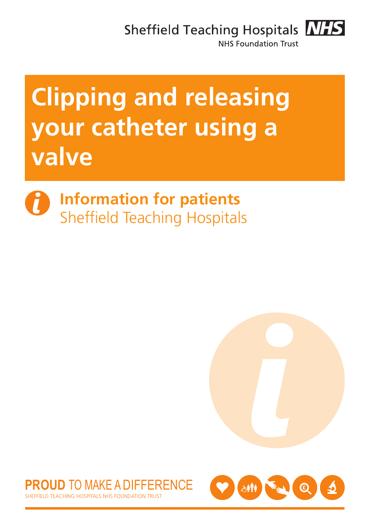Sheffield Teaching Hospitals **NHS** 



**NHS Foundation Trust** 

# **Clipping and releasing your catheter using a valve**

**Information for patients** Sheffield Teaching Hospitals





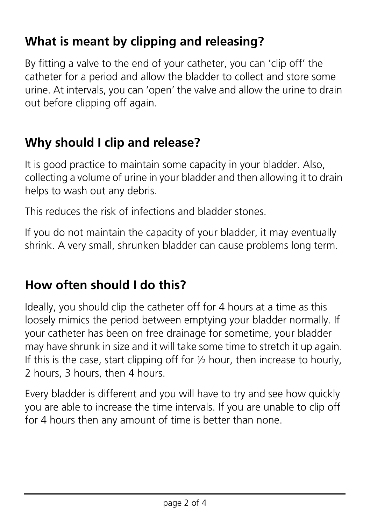## **What is meant by clipping and releasing?**

By fitting a valve to the end of your catheter, you can 'clip off' the catheter for a period and allow the bladder to collect and store some urine. At intervals, you can 'open' the valve and allow the urine to drain out before clipping off again.

#### **Why should I clip and release?**

It is good practice to maintain some capacity in your bladder. Also, collecting a volume of urine in your bladder and then allowing it to drain helps to wash out any debris.

This reduces the risk of infections and bladder stones.

If you do not maintain the capacity of your bladder, it may eventually shrink. A very small, shrunken bladder can cause problems long term.

#### **How often should I do this?**

Ideally, you should clip the catheter off for 4 hours at a time as this loosely mimics the period between emptying your bladder normally. If your catheter has been on free drainage for sometime, your bladder may have shrunk in size and it will take some time to stretch it up again. If this is the case, start clipping off for  $\frac{1}{2}$  hour, then increase to hourly, 2 hours, 3 hours, then 4 hours.

Every bladder is different and you will have to try and see how quickly you are able to increase the time intervals. If you are unable to clip off for 4 hours then any amount of time is better than none.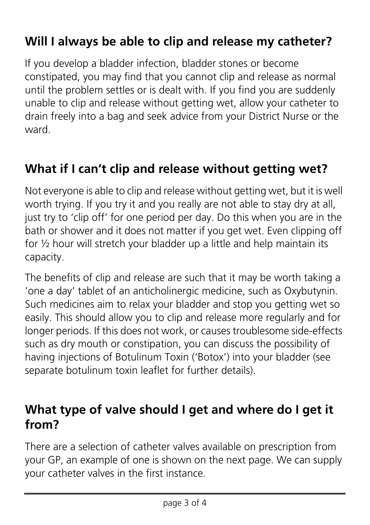## **Will I always be able to clip and release my catheter?**

If you develop a bladder infection, bladder stones or become constipated, you may find that you cannot clip and release as normal until the problem settles or is dealt with. If you find you are suddenly unable to clip and release without getting wet, allow your catheter to drain freely into a bag and seek advice from your District Nurse or the ward.

#### **What if I can't clip and release without getting wet?**

Not everyone is able to clip and release without getting wet, but it is well worth trying. If you try it and you really are not able to stay dry at all, just try to 'clip off' for one period per day. Do this when you are in the bath or shower and it does not matter if you get wet. Even clipping off for ½ hour will stretch your bladder up a little and help maintain its capacity.

The benefits of clip and release are such that it may be worth taking a 'one a day' tablet of an anticholinergic medicine, such as Oxybutynin. Such medicines aim to relax your bladder and stop you getting wet so easily. This should allow you to clip and release more regularly and for longer periods. If this does not work, or causes troublesome side-effects such as dry mouth or constipation, you can discuss the possibility of having injections of Botulinum Toxin ('Botox') into your bladder (see separate botulinum toxin leaflet for further details).

#### **What type of valve should I get and where do I get it from?**

There are a selection of catheter valves available on prescription from your GP, an example of one is shown on the next page. We can supply your catheter valves in the first instance.